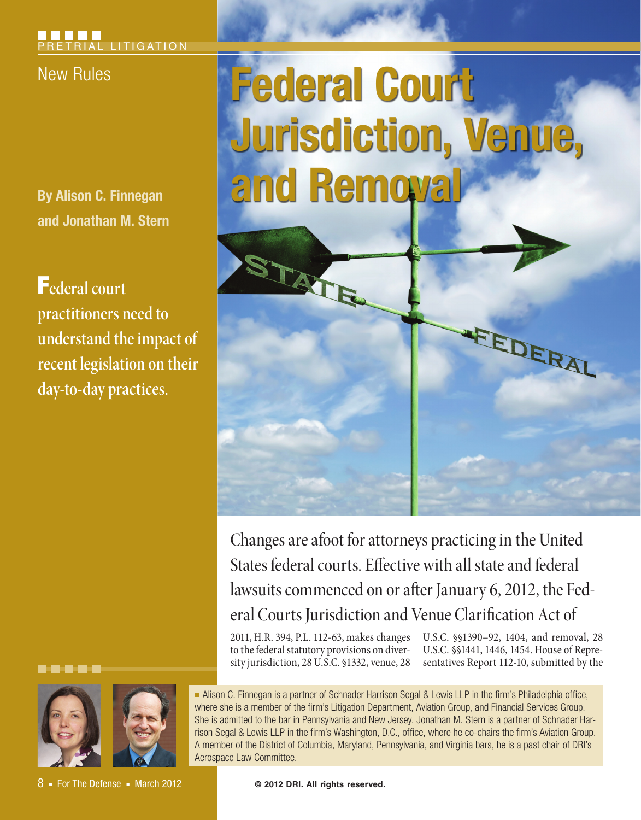**By Alison C. Finnegan and Jonathan M. Stern**

F**ederal court practitioners need to understand the impact of recent legislation on their day-to-day practices.**



8 ■ For The Defense ■ March 2012

# New Rules **Federal Court Jurisdiction, Venue, and Removal**



Changes are afoot for attorneys practicing in the United States federal courts. Effective with all state and federal lawsuits commenced on or after January 6, 2012, the Federal Courts Jurisdiction and Venue Clarification Act of

2011, H.R. 394, P.L. 112-63, makes changes to the federal statutory provisions on diversity jurisdiction, 28 U.S.C. §1332, venue, 28

U.S.C. §§1390–92, 1404, and removal, 28 U.S.C. §§1441, 1446, 1454. House of Representatives Report 112-10, submitted by the

■ Alison C. Finnegan is a partner of Schnader Harrison Segal & Lewis LLP in the firm's Philadelphia office, where she is a member of the firm's Litigation Department, Aviation Group, and Financial Services Group. She is admitted to the bar in Pennsylvania and New Jersey. Jonathan M. Stern is a partner of Schnader Harrison Segal & Lewis LLP in the firm's Washington, D.C., office, where he co-chairs the firm's Aviation Group. A member of the District of Columbia, Maryland, Pennsylvania, and Virginia bars, he is a past chair of DRI's Aerospace Law Committee.

**© 2012 DRI. All rights reserved.**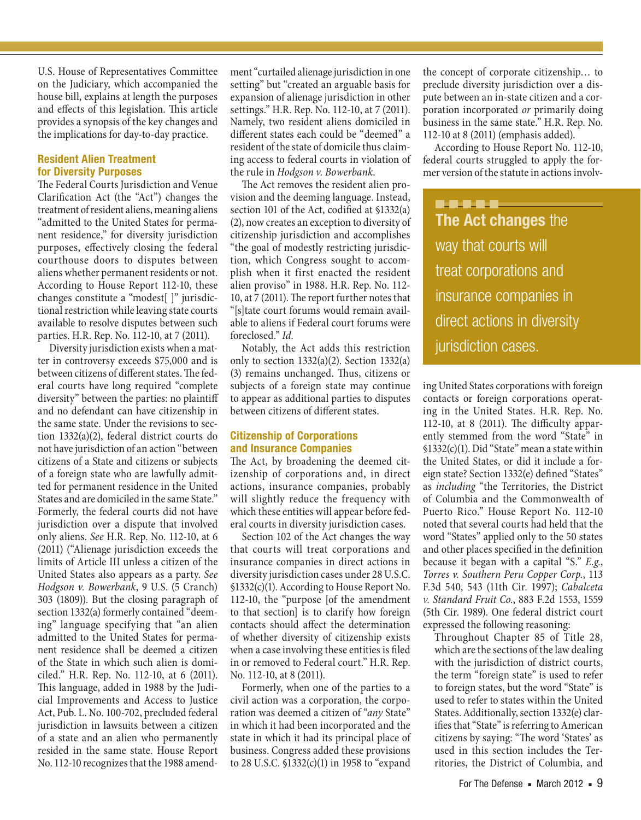U.S. House of Representatives Committee on the Judiciary, which accompanied the house bill, explains at length the purposes and effects of this legislation. This article provides a synopsis of the key changes and the implications for day-to-day practice.

### **Resident Alien Treatment for Diversity Purposes**

The Federal Courts Jurisdiction and Venue Clarification Act (the "Act") changes the treatment of resident aliens, meaning aliens "admitted to the United States for permanent residence," for diversity jurisdiction purposes, effectively closing the federal courthouse doors to disputes between aliens whether permanent residents or not. According to House Report 112-10, these changes constitute a "modest[ ]" jurisdictional restriction while leaving state courts available to resolve disputes between such parties. H.R. Rep. No. 112-10, at 7 (2011).

Diversity jurisdiction exists when a matter in controversy exceeds \$75,000 and is between citizens of different states. The federal courts have long required "complete diversity" between the parties: no plaintiff and no defendant can have citizenship in the same state. Under the revisions to section 1332(a)(2), federal district courts do not have jurisdiction of an action "between citizens of a State and citizens or subjects of a foreign state who are lawfully admitted for permanent residence in the United States and are domiciled in the same State." Formerly, the federal courts did not have jurisdiction over a dispute that involved only aliens. *See* H.R. Rep. No. 112-10, at 6 (2011) ("Alienage jurisdiction exceeds the limits of Article III unless a citizen of the United States also appears as a party. *See Hodgson v. Bowerbank*, 9 U.S. (5 Cranch) 303 (1809)). But the closing paragraph of section 1332(a) formerly contained "deeming" language specifying that "an alien admitted to the United States for permanent residence shall be deemed a citizen of the State in which such alien is domiciled." H.R. Rep. No. 112-10, at 6 (2011). This language, added in 1988 by the Judicial Improvements and Access to Justice Act, Pub. L. No. 100-702, precluded federal jurisdiction in lawsuits between a citizen of a state and an alien who permanently resided in the same state. House Report No. 112-10 recognizes that the 1988 amendment "curtailed alienage jurisdiction in one setting" but "created an arguable basis for expansion of alienage jurisdiction in other settings." H.R. Rep. No. 112-10, at 7 (2011). Namely, two resident aliens domiciled in different states each could be "deemed" a resident of the state of domicile thus claiming access to federal courts in violation of the rule in *Hodgson v. Bowerbank*.

The Act removes the resident alien provision and the deeming language. Instead, section 101 of the Act, codified at §1332(a) (2), now creates an exception to diversity of citizenship jurisdiction and accomplishes "the goal of modestly restricting jurisdiction, which Congress sought to accomplish when it first enacted the resident alien proviso" in 1988. H.R. Rep. No. 112- 10, at 7 (2011). The report further notes that "[s]tate court forums would remain available to aliens if Federal court forums were foreclosed." *Id.*

Notably, the Act adds this restriction only to section 1332(a)(2). Section 1332(a) (3) remains unchanged. Thus, citizens or subjects of a foreign state may continue to appear as additional parties to disputes between citizens of different states.

## **Citizenship of Corporations and Insurance Companies**

The Act, by broadening the deemed citizenship of corporations and, in direct actions, insurance companies, probably will slightly reduce the frequency with which these entities will appear before federal courts in diversity jurisdiction cases.

Section 102 of the Act changes the way that courts will treat corporations and insurance companies in direct actions in diversity jurisdiction cases under 28 U.S.C. §1332(c)(1). According to House Report No. 112-10, the "purpose [of the amendment to that section] is to clarify how foreign contacts should affect the determination of whether diversity of citizenship exists when a case involving these entities is filed in or removed to Federal court." H.R. Rep. No. 112-10, at 8 (2011).

Formerly, when one of the parties to a civil action was a corporation, the corporation was deemed a citizen of "*any* State" in which it had been incorporated and the state in which it had its principal place of business. Congress added these provisions to 28 U.S.C. §1332(c)(1) in 1958 to "expand the concept of corporate citizenship… to preclude diversity jurisdiction over a dispute between an in-state citizen and a corporation incorporated *or* primarily doing business in the same state." H.R. Rep. No. 112-10 at 8 (2011) (emphasis added).

According to House Report No. 112-10, federal courts struggled to apply the former version of the statute in actions involv-

**BBBBBB The Act changes** the way that courts will treat corporations and insurance companies in direct actions in diversity jurisdiction cases.

ing United States corporations with foreign contacts or foreign corporations operating in the United States. H.R. Rep. No. 112-10, at 8 (2011). The difficulty apparently stemmed from the word "State" in §1332(c)(1). Did "State" mean a state within the United States, or did it include a foreign state? Section 1332(e) defined "States" as *including* "the Territories, the District of Columbia and the Commonwealth of Puerto Rico." House Report No. 112-10 noted that several courts had held that the word "States" applied only to the 50 states and other places specified in the definition because it began with a capital "S." *E.g.*, *Torres v. Southern Peru Copper Corp.*, 113 F.3d 540, 543 (11th Cir. 1997); *Cabalceta v. Standard Fruit Co.*, 883 F.2d 1553, 1559 (5th Cir. 1989). One federal district court expressed the following reasoning:

Throughout Chapter 85 of Title 28, which are the sections of the law dealing with the jurisdiction of district courts, the term "foreign state" is used to refer to foreign states, but the word "State" is used to refer to states within the United States. Additionally, section 1332(e) clarifies that "State" is referring to American citizens by saying: "The word 'States' as used in this section includes the Territories, the District of Columbia, and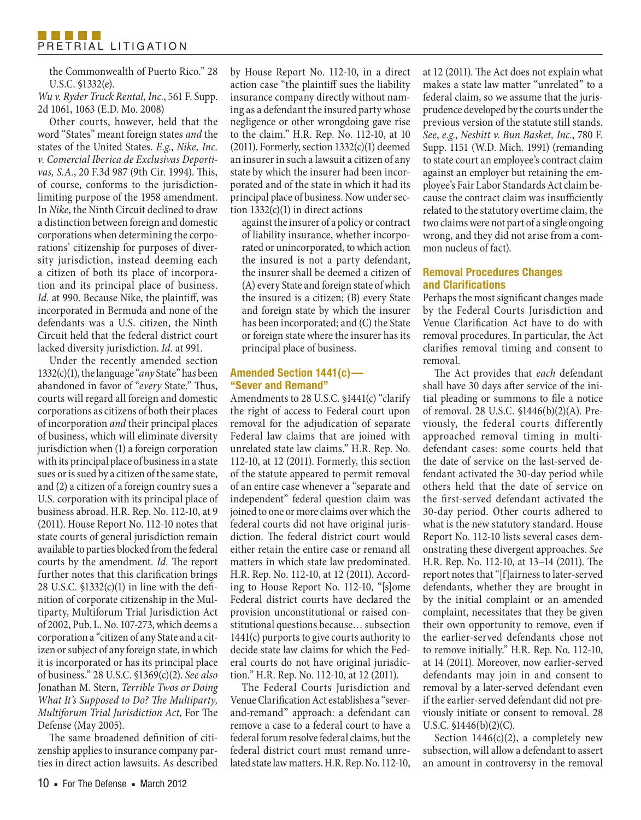the Commonwealth of Puerto Rico." 28 U.S.C. §1332(e).

*Wu v. Ryder Truck Rental, Inc.*, 561 F. Supp. 2d 1061, 1063 (E.D. Mo. 2008)

Other courts, however, held that the word "States" meant foreign states *and* the states of the United States. *E.g.*, *Nike, Inc. v. Comercial Iberica de Exclusivas Deportivas, S.A.*, 20 F.3d 987 (9th Cir. 1994). This, of course, conforms to the jurisdictionlimiting purpose of the 1958 amendment. In *Nike*, the Ninth Circuit declined to draw a distinction between foreign and domestic corporations when determining the corporations' citizenship for purposes of diversity jurisdiction, instead deeming each a citizen of both its place of incorporation and its principal place of business. *Id.* at 990. Because Nike, the plaintiff, was incorporated in Bermuda and none of the defendants was a U.S. citizen, the Ninth Circuit held that the federal district court lacked diversity jurisdiction. *Id.* at 991.

Under the recently amended section 1332(c)(1), the language "*any* State" has been abandoned in favor of "*every* State." Thus, courts will regard all foreign and domestic corporations as citizens of both their places of incorporation *and* their principal places of business, which will eliminate diversity jurisdiction when (1) a foreign corporation with its principal place of business in a state sues or is sued by a citizen of the same state, and (2) a citizen of a foreign country sues a U.S. corporation with its principal place of business abroad. H.R. Rep. No. 112-10, at 9 (2011). House Report No. 112-10 notes that state courts of general jurisdiction remain available to parties blocked from the federal courts by the amendment. *Id.* The report further notes that this clarification brings 28 U.S.C.  $$1332(c)(1)$  in line with the definition of corporate citizenship in the Multiparty, Multiforum Trial Jurisdiction Act of 2002, Pub. L. No. 107-273, which deems a corporation a "citizen of any State and a citizen or subject of any foreign state, in which it is incorporated or has its principal place of business." 28 U.S.C. §1369(c)(2). *See also* Jonathan M. Stern, *Terrible Twos or Doing What It's Supposed to Do? The Multiparty, Multiforum Trial Jurisdiction Act*, For The Defense (May 2005).

The same broadened definition of citizenship applies to insurance company parties in direct action lawsuits. As described by House Report No. 112-10, in a direct action case "the plaintiff sues the liability insurance company directly without naming as a defendant the insured party whose negligence or other wrongdoing gave rise to the claim." H.R. Rep. No. 112-10, at 10 (2011). Formerly, section  $1332(c)(1)$  deemed an insurer in such a lawsuit a citizen of any state by which the insurer had been incorporated and of the state in which it had its principal place of business. Now under section  $1332(c)(1)$  in direct actions

against the insurer of a policy or contract of liability insurance, whether incorporated or unincorporated, to which action the insured is not a party defendant, the insurer shall be deemed a citizen of (A) every State and foreign state of which the insured is a citizen; (B) every State and foreign state by which the insurer has been incorporated; and (C) the State or foreign state where the insurer has its principal place of business.

### **Amended Section 1441(c)— "Sever and Remand"**

Amendments to 28 U.S.C. §1441(c) "clarify the right of access to Federal court upon removal for the adjudication of separate Federal law claims that are joined with unrelated state law claims." H.R. Rep. No. 112-10, at 12 (2011). Formerly, this section of the statute appeared to permit removal of an entire case whenever a "separate and independent" federal question claim was joined to one or more claims over which the federal courts did not have original jurisdiction. The federal district court would either retain the entire case or remand all matters in which state law predominated. H.R. Rep. No. 112-10, at 12 (2011). According to House Report No. 112-10, "[s]ome Federal district courts have declared the provision unconstitutional or raised constitutional questions because… subsection 1441(c) purports to give courts authority to decide state law claims for which the Federal courts do not have original jurisdiction." H.R. Rep. No. 112-10, at 12 (2011).

The Federal Courts Jurisdiction and Venue Clarification Act establishes a "severand-remand" approach: a defendant can remove a case to a federal court to have a federal forum resolve federal claims, but the federal district court must remand unrelated state law matters. H.R. Rep. No. 112-10,

at 12 (2011). The Act does not explain what makes a state law matter "unrelated" to a federal claim, so we assume that the jurisprudence developed by the courts under the previous version of the statute still stands. *See*, *e.g.*, *Nesbitt v. Bun Basket, Inc.*, 780 F. Supp. 1151 (W.D. Mich. 1991) (remanding to state court an employee's contract claim against an employer but retaining the employee's Fair Labor Standards Act claim because the contract claim was insufficiently related to the statutory overtime claim, the two claims were not part of a single ongoing wrong, and they did not arise from a common nucleus of fact).

# **Removal Procedures Changes and Clarifications**

Perhaps the most significant changes made by the Federal Courts Jurisdiction and Venue Clarification Act have to do with removal procedures. In particular, the Act clarifies removal timing and consent to removal.

The Act provides that *each* defendant shall have 30 days after service of the initial pleading or summons to file a notice of removal. 28 U.S.C. §1446(b)(2)(A). Previously, the federal courts differently approached removal timing in multidefendant cases: some courts held that the date of service on the last-served defendant activated the 30-day period while others held that the date of service on the first-served defendant activated the 30-day period. Other courts adhered to what is the new statutory standard. House Report No. 112-10 lists several cases demonstrating these divergent approaches. *See* H.R. Rep. No. 112-10, at 13–14 (2011). The report notes that "[f]airness to later-served defendants, whether they are brought in by the initial complaint or an amended complaint, necessitates that they be given their own opportunity to remove, even if the earlier-served defendants chose not to remove initially." H.R. Rep. No. 112-10, at 14 (2011). Moreover, now earlier-served defendants may join in and consent to removal by a later-served defendant even if the earlier-served defendant did not previously initiate or consent to removal. 28 U.S.C. §1446(b)(2)(C).

Section  $1446(c)(2)$ , a completely new subsection, will allow a defendant to assert an amount in controversy in the removal